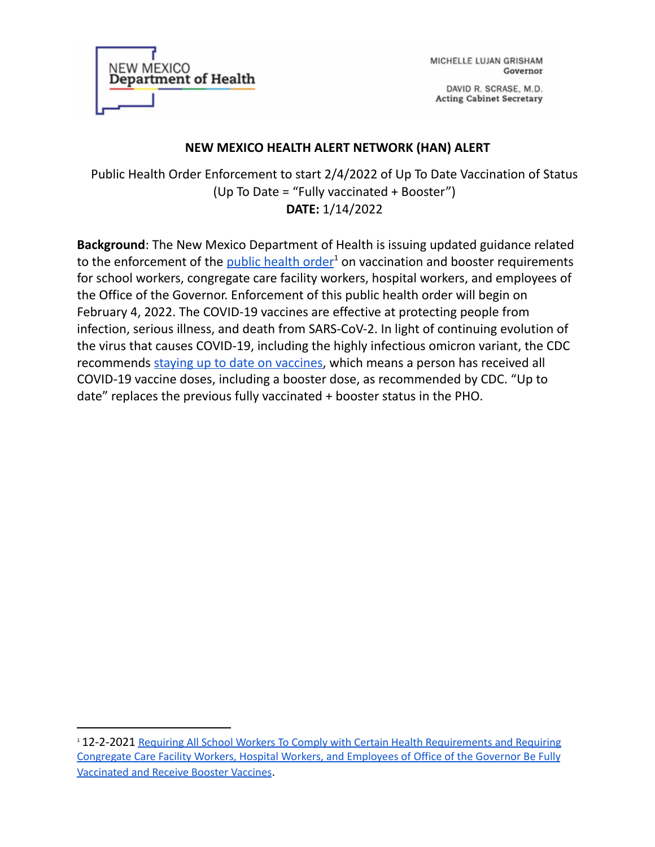

MICHELLE LUJAN GRISHAM Governor

DAVID R. SCRASE, M.D. **Acting Cabinet Secretary** 

## **NEW MEXICO HEALTH ALERT NETWORK (HAN) ALERT**

Public Health Order Enforcement to start 2/4/2022 of Up To Date Vaccination of Status (Up To Date = "Fully vaccinated + Booster") **DATE:** 1/14/2022

**Background**: The New Mexico Department of Health is issuing updated guidance related to the enforcement of the **public [health](https://cv.nmhealth.org/wp-content/uploads/2021/12/PHO120221.pdf) order<sup>1</sup> on vaccination and booster requirements** for school workers, congregate care facility workers, hospital workers, and employees of the Office of the Governor. Enforcement of this public health order will begin on February 4, 2022. The COVID-19 vaccines are effective at protecting people from infection, serious illness, and death from SARS-CoV-2. In light of continuing evolution of the virus that causes COVID-19, including the highly infectious omicron variant, the CDC recommends staying up to date on [vaccines,](https://www.cdc.gov/coronavirus/2019-ncov/vaccines/stay-up-to-date.html) which means a person has received all COVID-19 vaccine doses, including a booster dose, as recommended by CDC. "Up to date" replaces the previous fully vaccinated + booster status in the PHO.

<sup>1</sup> 12-2-2021 Requiring All School Workers To Comply with Certain Health [Requirements](https://cv.nmhealth.org/wp-content/uploads/2021/12/PHO120221.pdf) and Requiring [Congregate](https://cv.nmhealth.org/wp-content/uploads/2021/12/PHO120221.pdf) Care Facility Workers, Hospital Workers, and Employees of Office of the Governor Be Fully [Vaccinated](https://cv.nmhealth.org/wp-content/uploads/2021/12/PHO120221.pdf) and Receive Booster Vaccines.